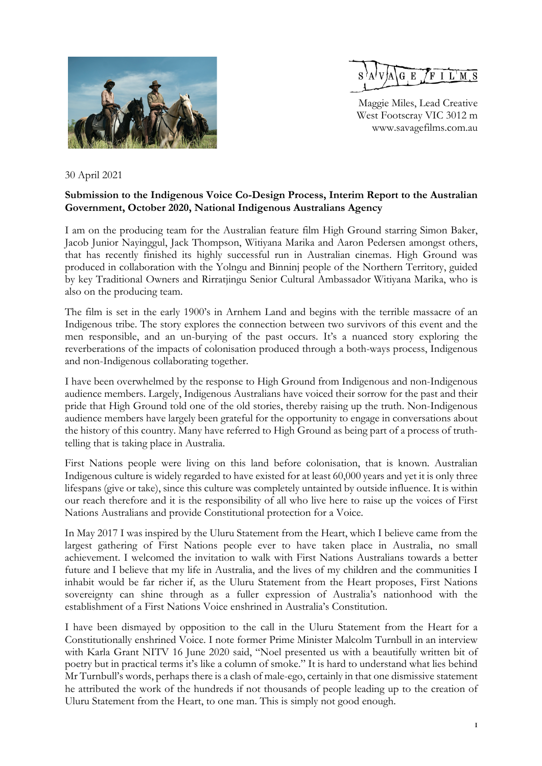

 $G$  E FILMS

Maggie Miles, Lead Creative West Footscray VIC 3012 m www.savagefilms.com.au

## 30 April 2021

## **Submission to the Indigenous Voice Co-Design Process, Interim Report to the Australian Government, October 2020, National Indigenous Australians Agency**

 I am on the producing team for the Australian feature film High Ground starring Simon Baker, Jacob Junior Nayinggul, Jack Thompson, Witiyana Marika and Aaron Pedersen amongst others, that has recently finished its highly successful run in Australian cinemas. High Ground was produced in collaboration with the Yolngu and Binninj people of the Northern Territory, guided by key Traditional Owners and Rirratjingu Senior Cultural Ambassador Witiyana Marika, who is also on the producing team.

 The film is set in the early 1900's in Arnhem Land and begins with the terrible massacre of an Indigenous tribe. The story explores the connection between two survivors of this event and the men responsible, and an un-burying of the past occurs. It's a nuanced story exploring the reverberations of the impacts of colonisation produced through a both-ways process, Indigenous and non-Indigenous collaborating together.

 I have been overwhelmed by the response to High Ground from Indigenous and non-Indigenous audience members. Largely, Indigenous Australians have voiced their sorrow for the past and their pride that High Ground told one of the old stories, thereby raising up the truth. Non-Indigenous audience members have largely been grateful for the opportunity to engage in conversations about the history of this country. Many have referred to High Ground as being part of a process of truth-telling that is taking place in Australia.

 First Nations people were living on this land before colonisation, that is known. Australian Indigenous culture is widely regarded to have existed for at least 60,000 years and yet it is only three lifespans (give or take), since this culture was completely untainted by outside influence. It is within our reach therefore and it is the responsibility of all who live here to raise up the voices of First Nations Australians and provide Constitutional protection for a Voice.

 In May 2017 I was inspired by the Uluru Statement from the Heart, which I believe came from the largest gathering of First Nations people ever to have taken place in Australia, no small achievement. I welcomed the invitation to walk with First Nations Australians towards a better future and I believe that my life in Australia, and the lives of my children and the communities I inhabit would be far richer if, as the Uluru Statement from the Heart proposes, First Nations sovereignty can shine through as a fuller expression of Australia's nationhood with the establishment of a First Nations Voice enshrined in Australia's Constitution.

 I have been dismayed by opposition to the call in the Uluru Statement from the Heart for a Constitutionally enshrined Voice. I note former Prime Minister Malcolm Turnbull in an interview with Karla Grant NITV 16 June 2020 said, "Noel presented us with a beautifully written bit of poetry but in practical terms it's like a column of smoke." It is hard to understand what lies behind Mr Turnbull's words, perhaps there is a clash of male-ego, certainly in that one dismissive statement he attributed the work of the hundreds if not thousands of people leading up to the creation of Uluru Statement from the Heart, to one man. This is simply not good enough.